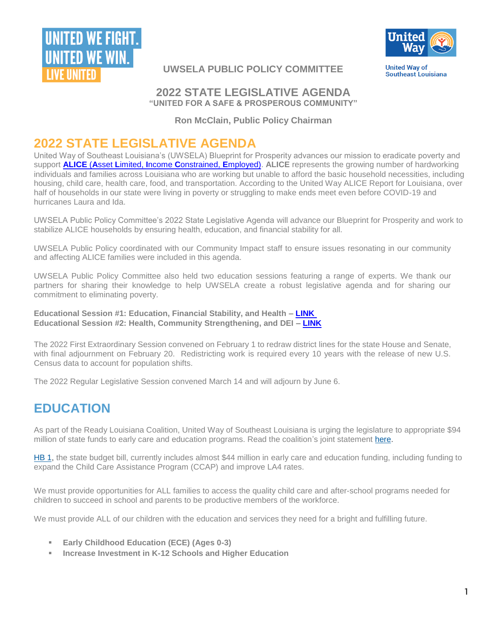



**UWSELA PUBLIC POLICY COMMITTEE**

**United Way of Southeast Louisiana** 

### **2022 STATE LEGISLATIVE AGENDA "UNITED FOR A SAFE & PROSPEROUS COMMUNITY"**

**Ron McClain, Public Policy Chairman**

## **2022 STATE LEGISLATIVE AGENDA**

United Way of Southeast Louisiana's (UWSELA) Blueprint for Prosperity advances our mission to eradicate poverty and support **ALICE** (**A**sset **L**imited, **I**ncome **C**[onstrained,](https://unitedwaysela.org/alice) **E**mployed). **ALICE** represents the growing number of hardworking individuals and families across Louisiana who are working but unable to afford the basic household necessities, including housing, child care, health care, food, and transportation. According to the United Way ALICE Report for Louisiana, over half of households in our state were living in poverty or struggling to make ends meet even before COVID-19 and hurricanes Laura and Ida.

UWSELA Public Policy Committee's 2022 State Legislative Agenda will advance our Blueprint for Prosperity and work to stabilize ALICE households by ensuring health, education, and financial stability for all.

UWSELA Public Policy coordinated with our Community Impact staff to ensure issues resonating in our community and affecting ALICE families were included in this agenda.

UWSELA Public Policy Committee also held two education sessions featuring a range of experts. We thank our partners for sharing their knowledge to help UWSELA create a robust legislative agenda and for sharing our commitment to eliminating poverty.

**Educational Session #1: Education, Financial Stability, and Health – [LINK](https://youtu.be/YY-NXFHif9k) Educational Session #2: Health, Community Strengthening, and DEI – [LINK](https://youtu.be/NBDu9Wqs4y8)**

The 2022 First Extraordinary Session convened on February 1 to redraw district lines for the state House and Senate, with final adjournment on February 20. Redistricting work is required every 10 years with the release of new U.S. Census data to account for population shifts.

The 2022 Regular Legislative Session convened March 14 and will adjourn by June 6.

# **EDUCATION**

As part of the Ready Louisiana Coalition, United Way of Southeast Louisiana is urging the legislature to appropriate \$94 million of state funds to early care and education programs. Read the coalition's joint statement [here.](https://r20.rs6.net/tn.jsp?f=0015j8iUzHwPMFrXOZX1xjiVpr02HzOmvCLuSvXMQ7R6Dp0l3pPnMGrkgnN4vm1ywg81rvCr2TV2HkIWOMQRRur9uN_fkVmLg8EwV6Eqxym9BCNHUp9oIvRug8j1VZFyst1UiQwDzhU4aG0IQf8qXnko0bcJ6XlB-g1RG3Mt21R3tmiGt7Lt07WRgy2c8zXqhW8&c=tFR4TgZf4TsGJxVH8NagFy00oT3fpZDYIfDk-vjyVJZ4EZgc1tJIAA==&ch=2W1TRnImSHd2-rqmMqP0rzu1n_uQoOeEUc_A7vytGCfT3Ya3V_Po3g==)

[HB 1,](https://r20.rs6.net/tn.jsp?f=0015j8iUzHwPMFrXOZX1xjiVpr02HzOmvCLuSvXMQ7R6Dp0l3pPnMGrkgnN4vm1ywg8cMwOgF0x5xPkYuGAzMtZMFgc1VB3aRdnlwepD9N6i6kvukR0JKvDx0KmYlWedB-t-HCC5mA4H18Jc-SJFvNVS5ZfvnjTilQSwNA_NqcM3KH2OGtgeosLLtWbdMndNQ87R_j5MxdtVINRNbUoAy_KFg==&c=tFR4TgZf4TsGJxVH8NagFy00oT3fpZDYIfDk-vjyVJZ4EZgc1tJIAA==&ch=2W1TRnImSHd2-rqmMqP0rzu1n_uQoOeEUc_A7vytGCfT3Ya3V_Po3g==) the state budget bill, currently includes almost \$44 million in early care and education funding, including funding to expand the Child Care Assistance Program (CCAP) and improve LA4 rates.

We must provide opportunities for ALL families to access the quality child care and after-school programs needed for children to succeed in school and parents to be productive members of the workforce.

We must provide ALL of our children with the education and services they need for a bright and fulfilling future.

- **Early Childhood Education (ECE) (Ages 0-3)**
- **Increase Investment in K-12 Schools and Higher Education**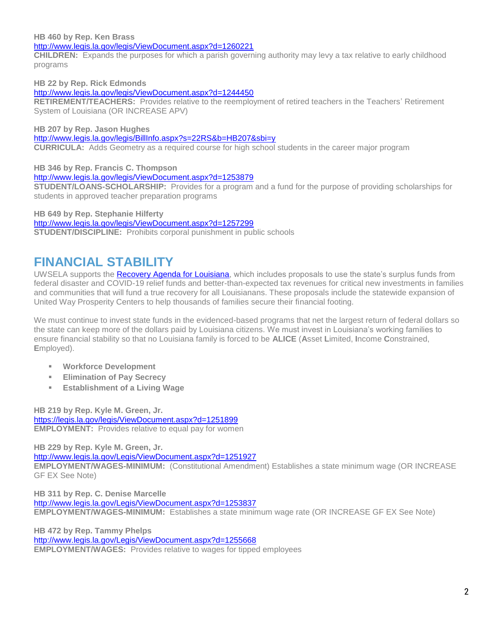#### **HB 460 by Rep. Ken Brass**

<http://www.legis.la.gov/legis/ViewDocument.aspx?d=1260221>

**CHILDREN:** Expands the purposes for which a parish governing authority may levy a tax relative to early childhood programs

**HB 22 by Rep. Rick Edmonds** 

#### <http://www.legis.la.gov/legis/ViewDocument.aspx?d=1244450>

**RETIREMENT/TEACHERS:** Provides relative to the reemployment of retired teachers in the Teachers' Retirement System of Louisiana (OR INCREASE APV)

**HB 207 by Rep. Jason Hughes**

<http://www.legis.la.gov/legis/BillInfo.aspx?s=22RS&b=HB207&sbi=y>

**CURRICULA:** Adds Geometry as a required course for high school students in the career major program

**HB 346 by Rep. Francis C. Thompson**

<http://www.legis.la.gov/legis/ViewDocument.aspx?d=1253879>

**STUDENT/LOANS-SCHOLARSHIP:** Provides for a program and a fund for the purpose of providing scholarships for students in approved teacher preparation programs

**HB 649 by Rep. Stephanie Hilferty**

<http://www.legis.la.gov/legis/ViewDocument.aspx?d=1257299>

**STUDENT/DISCIPLINE:** Prohibits corporal punishment in public schools

## **FINANCIAL STABILITY**

UWSELA supports the [Recovery Agenda for Louisiana,](https://www.labudget.org/wp-content/uploads/2022/03/A-Recovery-Agenda-for-Louisiana.pdf) which includes proposals to use the state's surplus funds from federal disaster and COVID-19 relief funds and better-than-expected tax revenues for critical new investments in families and communities that will fund a true recovery for all Louisianans. These proposals include the statewide expansion of United Way Prosperity Centers to help thousands of families secure their financial footing.

We must continue to invest state funds in the evidenced-based programs that net the largest return of federal dollars so the state can keep more of the dollars paid by Louisiana citizens. We must invest in Louisiana's working families to ensure financial stability so that no Louisiana family is forced to be **ALICE** (**A**sset **L**imited, **I**ncome **C**onstrained, **E**mployed).

- **Workforce Development**
- **Elimination of Pay Secrecy**
- **Establishment of a Living Wage**

**HB 219 by Rep. Kyle M. Green, Jr.** <https://legis.la.gov/legis/ViewDocument.aspx?d=1251899> **EMPLOYMENT:** Provides relative to equal pay for women

**HB 229 by Rep. Kyle M. Green, Jr.**

<http://www.legis.la.gov/Legis/ViewDocument.aspx?d=1251927>

**EMPLOYMENT/WAGES-MINIMUM:** (Constitutional Amendment) Establishes a state minimum wage (OR INCREASE GF EX See Note)

**HB 311 by Rep. C. Denise Marcelle** <http://www.legis.la.gov/Legis/ViewDocument.aspx?d=1253837> **EMPLOYMENT/WAGES-MINIMUM:** Establishes a state minimum wage rate (OR INCREASE GF EX See Note)

**HB 472 by Rep. Tammy Phelps** <http://www.legis.la.gov/Legis/ViewDocument.aspx?d=1255668> **EMPLOYMENT/WAGES:** Provides relative to wages for tipped employees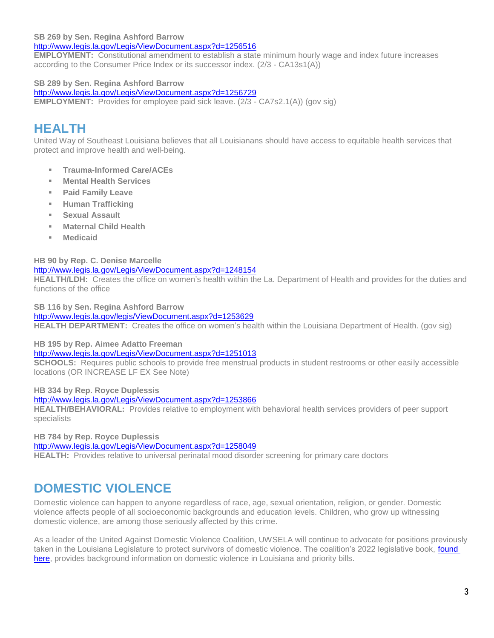#### **SB 269 by Sen. Regina Ashford Barrow**

<http://www.legis.la.gov/Legis/ViewDocument.aspx?d=1256516>

**EMPLOYMENT:** Constitutional amendment to establish a state minimum hourly wage and index future increases according to the Consumer Price Index or its successor index. (2/3 - CA13s1(A))

#### **SB 289 by Sen. Regina Ashford Barrow**

<http://www.legis.la.gov/Legis/ViewDocument.aspx?d=1256729>

**EMPLOYMENT:** Provides for employee paid sick leave. (2/3 - CA7s2.1(A)) (gov sig)

# **HEALTH**

United Way of Southeast Louisiana believes that all Louisianans should have access to equitable health services that protect and improve health and well-being.

- **Trauma-Informed Care/ACEs**
- **Mental Health Services**
- **Paid Family Leave**
- **Human Trafficking**
- **Sexual Assault**
- **Maternal Child Health**
- **Medicaid**

#### **HB 90 by Rep. C. Denise Marcelle**

#### <http://www.legis.la.gov/Legis/ViewDocument.aspx?d=1248154>

**HEALTH/LDH:** Creates the office on women's health within the La. Department of Health and provides for the duties and functions of the office

**SB 116 by Sen. Regina Ashford Barrow**

#### <http://www.legis.la.gov/legis/ViewDocument.aspx?d=1253629>

**HEALTH DEPARTMENT:** Creates the office on women's health within the Louisiana Department of Health. (gov sig)

#### **HB 195 by Rep. Aimee Adatto Freeman**

#### <http://www.legis.la.gov/Legis/ViewDocument.aspx?d=1251013>

**SCHOOLS:** Requires public schools to provide free menstrual products in student restrooms or other easily accessible locations (OR INCREASE LF EX See Note)

**HB 334 by Rep. Royce Duplessis**

<http://www.legis.la.gov/Legis/ViewDocument.aspx?d=1253866>

**HEALTH/BEHAVIORAL:** Provides relative to employment with behavioral health services providers of peer support specialists

**HB 784 by Rep. Royce Duplessis**

<http://www.legis.la.gov/Legis/ViewDocument.aspx?d=1258049>

**HEALTH:** Provides relative to universal perinatal mood disorder screening for primary care doctors

### **DOMESTIC VIOLENCE**

Domestic violence can happen to anyone regardless of race, age, sexual orientation, religion, or gender. Domestic violence affects people of all socioeconomic backgrounds and education levels. Children, who grow up witnessing domestic violence, are among those seriously affected by this crime.

As a leader of the United Against Domestic Violence Coalition, UWSELA will continue to advocate for positions previously taken in the Louisiana Legislature to protect survivors of domestic violence. The coalition's 2022 legislative book, found [here,](https://www.unitedwaysela.org/2022-united-against-domestic-violence-case-book) provides background information on domestic violence in Louisiana and priority bills.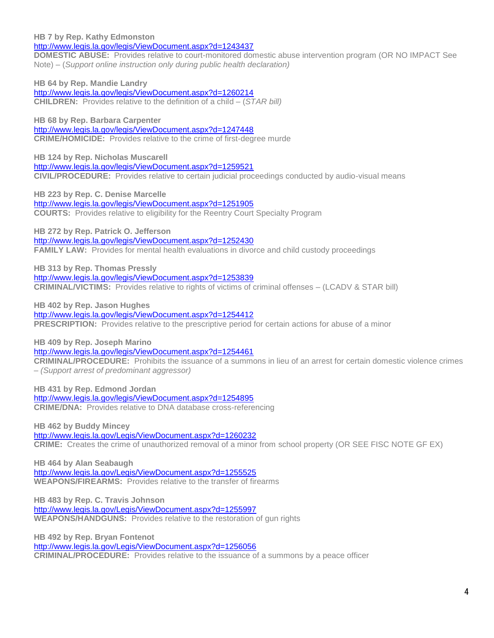**HB 7 by Rep. Kathy Edmonston**

<http://www.legis.la.gov/legis/ViewDocument.aspx?d=1243437>

**DOMESTIC ABUSE:** Provides relative to court-monitored domestic abuse intervention program (OR NO IMPACT See Note) – (*Support online instruction only during public health declaration)*

**HB 64 by Rep. Mandie Landry** <http://www.legis.la.gov/legis/ViewDocument.aspx?d=1260214> **CHILDREN:** Provides relative to the definition of a child – (*STAR bill)*

**HB 68 by Rep. Barbara Carpenter** <http://www.legis.la.gov/legis/ViewDocument.aspx?d=1247448> **CRIME/HOMICIDE:** Provides relative to the crime of first-degree murde

**HB 124 by Rep. Nicholas Muscarell** <http://www.legis.la.gov/legis/ViewDocument.aspx?d=1259521> **CIVIL/PROCEDURE:** Provides relative to certain judicial proceedings conducted by audio-visual means

**HB 223 by Rep. C. Denise Marcelle**

<http://www.legis.la.gov/legis/ViewDocument.aspx?d=1251905> **COURTS:** Provides relative to eligibility for the Reentry Court Specialty Program

**HB 272 by Rep. Patrick O. Jefferson** <http://www.legis.la.gov/legis/ViewDocument.aspx?d=1252430> **FAMILY LAW:** Provides for mental health evaluations in divorce and child custody proceedings

**HB 313 by Rep. Thomas Pressly** <http://www.legis.la.gov/legis/ViewDocument.aspx?d=1253839> **CRIMINAL/VICTIMS:** Provides relative to rights of victims of criminal offenses – (LCADV & STAR bill)

**HB 402 by Rep. Jason Hughes**

<http://www.legis.la.gov/legis/ViewDocument.aspx?d=1254412>

**PRESCRIPTION:** Provides relative to the prescriptive period for certain actions for abuse of a minor

**HB 409 by Rep. Joseph Marino**

<http://www.legis.la.gov/legis/ViewDocument.aspx?d=1254461>

**CRIMINAL/PROCEDURE:** Prohibits the issuance of a summons in lieu of an arrest for certain domestic violence crimes – *(Support arrest of predominant aggressor)*

**HB 431 by Rep. Edmond Jordan** <http://www.legis.la.gov/legis/ViewDocument.aspx?d=1254895> **CRIME/DNA:** Provides relative to DNA database cross-referencing

**HB 462 by Buddy Mincey** <http://www.legis.la.gov/Legis/ViewDocument.aspx?d=1260232> **CRIME:** Creates the crime of unauthorized removal of a minor from school property (OR SEE FISC NOTE GF EX)

**HB 464 by Alan Seabaugh** <http://www.legis.la.gov/Legis/ViewDocument.aspx?d=1255525> **WEAPONS/FIREARMS:** Provides relative to the transfer of firearms

**HB 483 by Rep. C. Travis Johnson** <http://www.legis.la.gov/Legis/ViewDocument.aspx?d=1255997> **WEAPONS/HANDGUNS:** Provides relative to the restoration of gun rights

**HB 492 by Rep. Bryan Fontenot** <http://www.legis.la.gov/Legis/ViewDocument.aspx?d=1256056> **CRIMINAL/PROCEDURE:** Provides relative to the issuance of a summons by a peace officer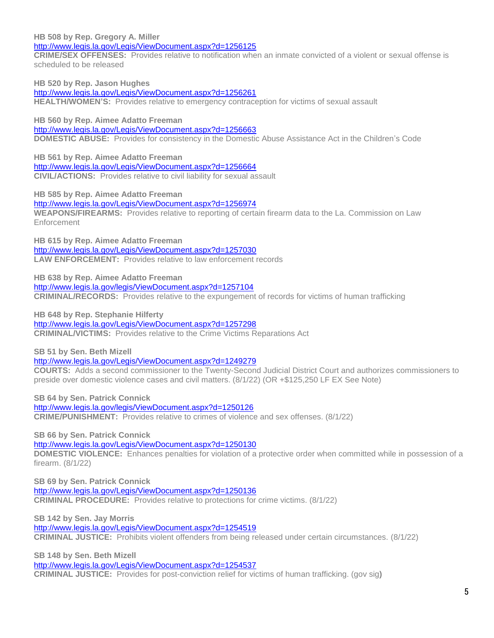**HB 508 by Rep. Gregory A. Miller**

<http://www.legis.la.gov/Legis/ViewDocument.aspx?d=1256125>

**CRIME/SEX OFFENSES:** Provides relative to notification when an inmate convicted of a violent or sexual offense is scheduled to be released

**HB 520 by Rep. Jason Hughes** <http://www.legis.la.gov/Legis/ViewDocument.aspx?d=1256261> **HEALTH/WOMEN'S:** Provides relative to emergency contraception for victims of sexual assault

**HB 560 by Rep. Aimee Adatto Freeman** <http://www.legis.la.gov/Legis/ViewDocument.aspx?d=1256663> **DOMESTIC ABUSE:** Provides for consistency in the Domestic Abuse Assistance Act in the Children's Code

**HB 561 by Rep. Aimee Adatto Freeman** <http://www.legis.la.gov/Legis/ViewDocument.aspx?d=1256664> **CIVIL/ACTIONS:** Provides relative to civil liability for sexual assault

**HB 585 by Rep. Aimee Adatto Freeman** <http://www.legis.la.gov/Legis/ViewDocument.aspx?d=1256974> **WEAPONS/FIREARMS:** Provides relative to reporting of certain firearm data to the La. Commission on Law Enforcement

**HB 615 by Rep. Aimee Adatto Freeman** <http://www.legis.la.gov/Legis/ViewDocument.aspx?d=1257030> **LAW ENFORCEMENT:** Provides relative to law enforcement records

**HB 638 by Rep. Aimee Adatto Freeman** <http://www.legis.la.gov/legis/ViewDocument.aspx?d=1257104> **CRIMINAL/RECORDS:** Provides relative to the expungement of records for victims of human trafficking

**HB 648 by Rep. Stephanie Hilferty** <http://www.legis.la.gov/Legis/ViewDocument.aspx?d=1257298> **CRIMINAL/VICTIMS:** Provides relative to the Crime Victims Reparations Act

**SB 51 by Sen. Beth Mizell**

<http://www.legis.la.gov/Legis/ViewDocument.aspx?d=1249279>

**COURTS:** Adds a second commissioner to the Twenty-Second Judicial District Court and authorizes commissioners to preside over domestic violence cases and civil matters. (8/1/22) (OR +\$125,250 LF EX See Note)

**SB 64 by Sen. Patrick Connick** <http://www.legis.la.gov/legis/ViewDocument.aspx?d=1250126> **CRIME/PUNISHMENT:** Provides relative to crimes of violence and sex offenses. (8/1/22)

**SB 66 by Sen. Patrick Connick**

<http://www.legis.la.gov/Legis/ViewDocument.aspx?d=1250130>

**DOMESTIC VIOLENCE:** Enhances penalties for violation of a protective order when committed while in possession of a firearm. (8/1/22)

**SB 69 by Sen. Patrick Connick** <http://www.legis.la.gov/Legis/ViewDocument.aspx?d=1250136> **CRIMINAL PROCEDURE:** Provides relative to protections for crime victims. (8/1/22)

**SB 142 by Sen. Jay Morris** <http://www.legis.la.gov/Legis/ViewDocument.aspx?d=1254519> **CRIMINAL JUSTICE:** Prohibits violent offenders from being released under certain circumstances. (8/1/22)

**SB 148 by Sen. Beth Mizell**

<http://www.legis.la.gov/Legis/ViewDocument.aspx?d=1254537> **CRIMINAL JUSTICE:** Provides for post-conviction relief for victims of human trafficking. (gov sig**)**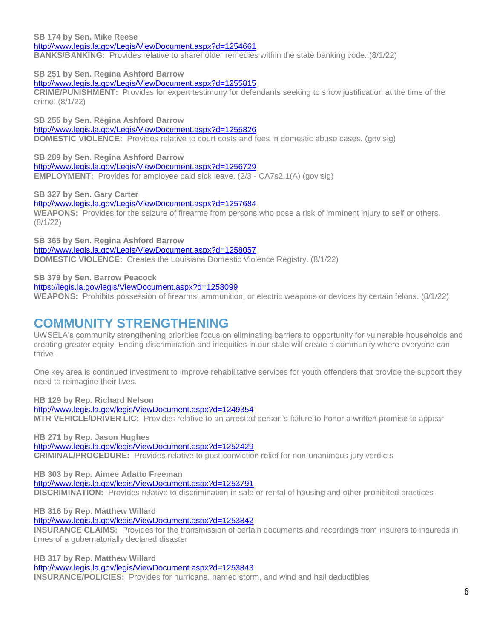**SB 174 by Sen. Mike Reese** <http://www.legis.la.gov/Legis/ViewDocument.aspx?d=1254661> **BANKS/BANKING:** Provides relative to shareholder remedies within the state banking code. (8/1/22)

**SB 251 by Sen. Regina Ashford Barrow**

<http://www.legis.la.gov/Legis/ViewDocument.aspx?d=1255815>

**CRIME/PUNISHMENT:** Provides for expert testimony for defendants seeking to show justification at the time of the crime. (8/1/22)

**SB 255 by Sen. Regina Ashford Barrow** <http://www.legis.la.gov/Legis/ViewDocument.aspx?d=1255826> **DOMESTIC VIOLENCE:** Provides relative to court costs and fees in domestic abuse cases. (gov sig)

**SB 289 by Sen. Regina Ashford Barrow** <http://www.legis.la.gov/Legis/ViewDocument.aspx?d=1256729> **EMPLOYMENT:** Provides for employee paid sick leave. (2/3 - CA7s2.1(A) (gov sig)

**SB 327 by Sen. Gary Carter**

<http://www.legis.la.gov/Legis/ViewDocument.aspx?d=1257684> **WEAPONS:** Provides for the seizure of firearms from persons who pose a risk of imminent injury to self or others. (8/1/22)

**SB 365 by Sen. Regina Ashford Barrow** <http://www.legis.la.gov/Legis/ViewDocument.aspx?d=1258057> **DOMESTIC VIOLENCE:** Creates the Louisiana Domestic Violence Registry. (8/1/22)

**SB 379 by Sen. Barrow Peacock**

<https://legis.la.gov/legis/ViewDocument.aspx?d=1258099>

**WEAPONS:** Prohibits possession of firearms, ammunition, or electric weapons or devices by certain felons. (8/1/22)

### **COMMUNITY STRENGTHENING**

UWSELA's community strengthening priorities focus on eliminating barriers to opportunity for vulnerable households and creating greater equity. Ending discrimination and inequities in our state will create a community where everyone can thrive.

One key area is continued investment to improve rehabilitative services for youth offenders that provide the support they need to reimagine their lives.

**HB 129 by Rep. Richard Nelson**

<http://www.legis.la.gov/legis/ViewDocument.aspx?d=1249354>

**MTR VEHICLE/DRIVER LIC:** Provides relative to an arrested person's failure to honor a written promise to appear

**HB 271 by Rep. Jason Hughes** <http://www.legis.la.gov/legis/ViewDocument.aspx?d=1252429> **CRIMINAL/PROCEDURE:** Provides relative to post-conviction relief for non-unanimous jury verdicts

**HB 303 by Rep. Aimee Adatto Freeman** <http://www.legis.la.gov/legis/ViewDocument.aspx?d=1253791> **DISCRIMINATION:** Provides relative to discrimination in sale or rental of housing and other prohibited practices

**HB 316 by Rep. Matthew Willard**

<http://www.legis.la.gov/legis/ViewDocument.aspx?d=1253842>

**INSURANCE CLAIMS:** Provides for the transmission of certain documents and recordings from insurers to insureds in times of a gubernatorially declared disaster

**HB 317 by Rep. Matthew Willard**  <http://www.legis.la.gov/legis/ViewDocument.aspx?d=1253843> **INSURANCE/POLICIES:** Provides for hurricane, named storm, and wind and hail deductibles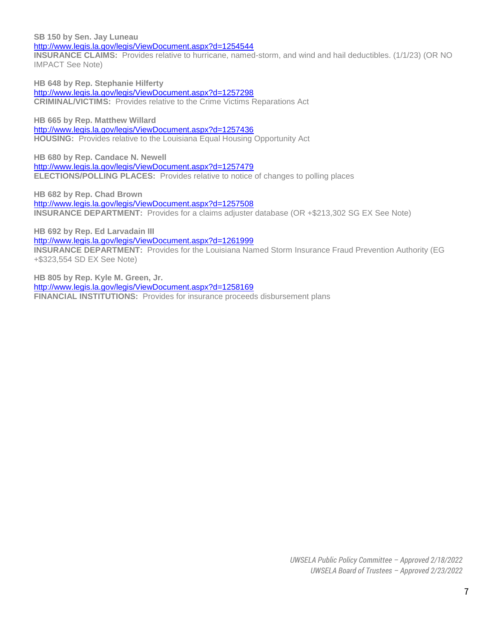**SB 150 by Sen. Jay Luneau**

<http://www.legis.la.gov/legis/ViewDocument.aspx?d=1254544>

**INSURANCE CLAIMS:** Provides relative to hurricane, named-storm, and wind and hail deductibles. (1/1/23) (OR NO IMPACT See Note)

**HB 648 by Rep. Stephanie Hilferty** <http://www.legis.la.gov/legis/ViewDocument.aspx?d=1257298> **CRIMINAL/VICTIMS:** Provides relative to the Crime Victims Reparations Act

**HB 665 by Rep. Matthew Willard** <http://www.legis.la.gov/legis/ViewDocument.aspx?d=1257436> **HOUSING:** Provides relative to the Louisiana Equal Housing Opportunity Act

**HB 680 by Rep. Candace N. Newell** <http://www.legis.la.gov/legis/ViewDocument.aspx?d=1257479> **ELECTIONS/POLLING PLACES:** Provides relative to notice of changes to polling places

**HB 682 by Rep. Chad Brown** <http://www.legis.la.gov/legis/ViewDocument.aspx?d=1257508> **INSURANCE DEPARTMENT:** Provides for a claims adjuster database (OR +\$213,302 SG EX See Note)

**HB 692 by Rep. Ed Larvadain III** <http://www.legis.la.gov/legis/ViewDocument.aspx?d=1261999> **INSURANCE DEPARTMENT:** Provides for the Louisiana Named Storm Insurance Fraud Prevention Authority (EG +\$323,554 SD EX See Note)

**HB 805 by Rep. Kyle M. Green, Jr.** <http://www.legis.la.gov/legis/ViewDocument.aspx?d=1258169> **FINANCIAL INSTITUTIONS:** Provides for insurance proceeds disbursement plans

> *UWSELA Public Policy Committee – Approved 2/18/2022 UWSELA Board of Trustees – Approved 2/23/2022*